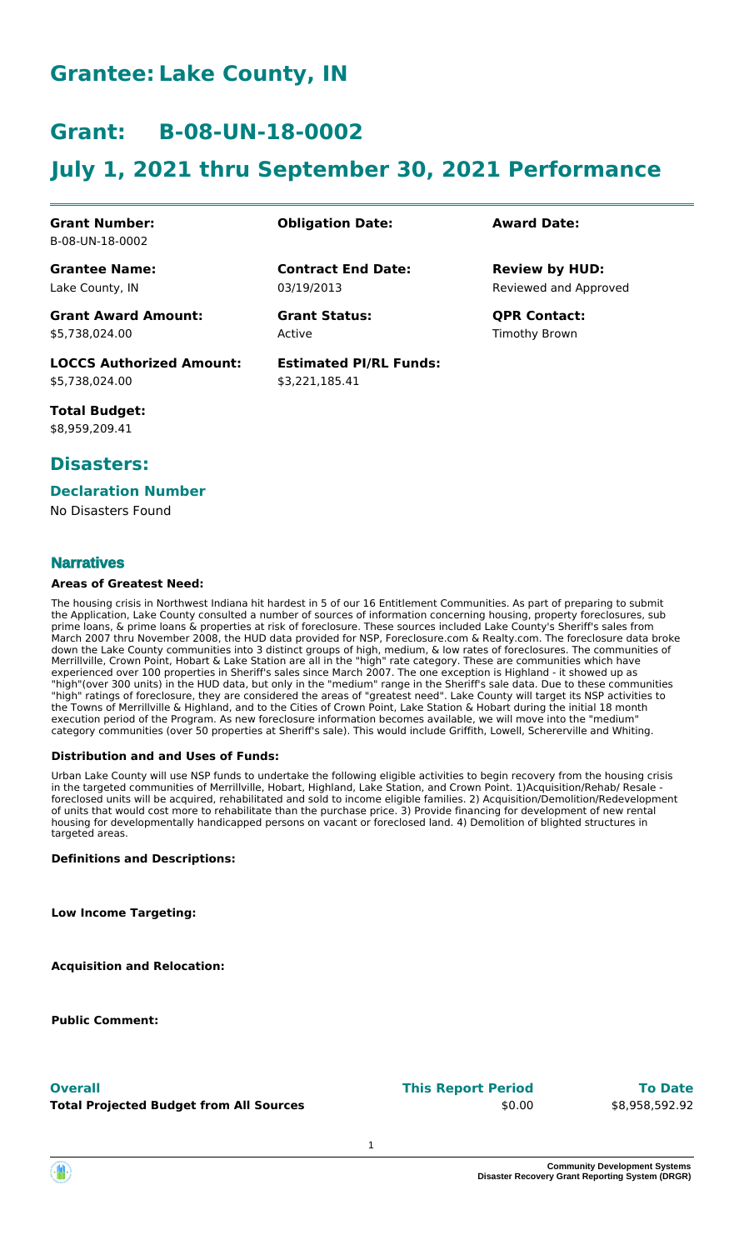### **Grantee: Lake County, IN**

### **Grant: B-08-UN-18-0002**

# **July 1, 2021 thru September 30, 2021 Performance**

**Contract End Date:**

**Estimated PI/RL Funds:**

\$3,221,185.41

03/19/2013

Active

#### **Grant Number:** B-08-UN-18-0002

**Grantee Name:** Lake County, IN

**Grant Award Amount:** \$5,738,024.00

**LOCCS Authorized Amount:** \$5,738,024.00

**Total Budget:** \$8,959,209.41

### **Disasters:**

#### **Declaration Number**

No Disasters Found

#### **Narratives**

#### **Areas of Greatest Need:**

The housing crisis in Northwest Indiana hit hardest in 5 of our 16 Entitlement Communities. As part of preparing to submit the Application, Lake County consulted a number of sources of information concerning housing, property foreclosures, sub prime loans, & prime loans & properties at risk of foreclosure. These sources included Lake County's Sheriff's sales from March 2007 thru November 2008, the HUD data provided for NSP, Foreclosure.com & Realty.com. The foreclosure data broke down the Lake County communities into 3 distinct groups of high, medium, & low rates of foreclosures. The communities of Merrillville, Crown Point, Hobart & Lake Station are all in the "high" rate category. These are communities which have experienced over 100 properties in Sheriff's sales since March 2007. The one exception is Highland - it showed up as "high"(over 300 units) in the HUD data, but only in the "medium" range in the Sheriff's sale data. Due to these communities "high" ratings of foreclosure, they are considered the areas of "greatest need". Lake County will target its NSP activities to the Towns of Merrillville & Highland, and to the Cities of Crown Point, Lake Station & Hobart during the initial 18 month execution period of the Program. As new foreclosure information becomes available, we will move into the "medium" category communities (over 50 properties at Sheriff's sale). This would include Griffith, Lowell, Schererville and Whiting.

#### **Distribution and and Uses of Funds:**

Urban Lake County will use NSP funds to undertake the following eligible activities to begin recovery from the housing crisis in the targeted communities of Merrillville, Hobart, Highland, Lake Station, and Crown Point. 1)Acquisition/Rehab/ Resale foreclosed units will be acquired, rehabilitated and sold to income eligible families. 2) Acquisition/Demolition/Redevelopment of units that would cost more to rehabilitate than the purchase price. 3) Provide financing for development of new rental housing for developmentally handicapped persons on vacant or foreclosed land. 4) Demolition of blighted structures in targeted areas.

#### **Definitions and Descriptions:**

**Low Income Targeting:**

**Acquisition and Relocation:**

**Public Comment:**

**Total Projected Budget from All Sources**

#### **This Report Period Overall To Date**

\$0.00

\$8,958,592.92

### **Obligation Date: Award Date:**

Reviewed and Approved **Review by HUD:**

**Grant Status: QPR Contact:** Timothy Brown